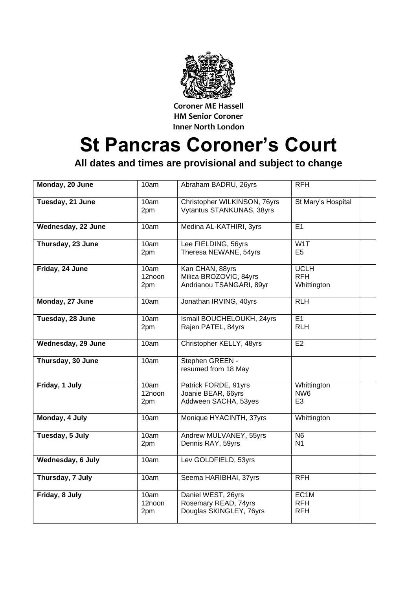

**Coroner ME Hassell HM Senior Coroner Inner North London**

## **St Pancras Coroner's Court**

**All dates and times are provisional and subject to change**

| Monday, 20 June    | 10am                  | Abraham BADRU, 26yrs                                                  | <b>RFH</b>                                       |
|--------------------|-----------------------|-----------------------------------------------------------------------|--------------------------------------------------|
| Tuesday, 21 June   | 10am<br>2pm           | Christopher WILKINSON, 76yrs<br>Vytantus STANKUNAS, 38yrs             | St Mary's Hospital                               |
| Wednesday, 22 June | 10am                  | Medina AL-KATHIRI, 3yrs                                               | E1                                               |
| Thursday, 23 June  | 10am<br>2pm           | Lee FIELDING, 56yrs<br>Theresa NEWANE, 54yrs                          | W <sub>1</sub> T<br>E <sub>5</sub>               |
| Friday, 24 June    | 10am<br>12noon<br>2pm | Kan CHAN, 88yrs<br>Milica BROZOVIC, 84yrs<br>Andrianou TSANGARI, 89yr | <b>UCLH</b><br><b>RFH</b><br>Whittington         |
| Monday, 27 June    | 10am                  | Jonathan IRVING, 40yrs                                                | R <sub>TH</sub>                                  |
| Tuesday, 28 June   | 10am<br>2pm           | Ismail BOUCHELOUKH, 24yrs<br>Rajen PATEL, 84yrs                       | E1<br><b>RLH</b>                                 |
| Wednesday, 29 June | 10am                  | Christopher KELLY, 48yrs                                              | E2                                               |
| Thursday, 30 June  | 10am                  | Stephen GREEN -<br>resumed from 18 May                                |                                                  |
| Friday, 1 July     | 10am<br>12noon<br>2pm | Patrick FORDE, 91yrs<br>Joanie BEAR, 66yrs<br>Addween SACHA, 53yes    | Whittington<br>NW <sub>6</sub><br>E <sub>3</sub> |
| Monday, 4 July     | 10am                  | Monique HYACINTH, 37yrs                                               | Whittington                                      |
| Tuesday, 5 July    | 10am<br>2pm           | Andrew MULVANEY, 55yrs<br>Dennis RAY, 59yrs                           | N <sub>6</sub><br>N <sub>1</sub>                 |
| Wednesday, 6 July  | 10am                  | Lev GOLDFIELD, 53yrs                                                  |                                                  |
| Thursday, 7 July   | 10am                  | Seema HARIBHAI, 37yrs                                                 | <b>RFH</b>                                       |
| Friday, 8 July     | 10am<br>12noon<br>2pm | Daniel WEST, 26yrs<br>Rosemary READ, 74yrs<br>Douglas SKINGLEY, 76yrs | EC1M<br><b>RFH</b><br><b>RFH</b>                 |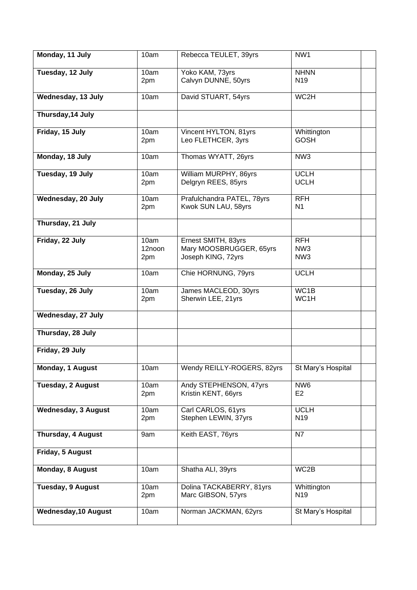| Monday, 11 July             | 10am                  | Rebecca TEULET, 39yrs                                                | NW1                                              |  |
|-----------------------------|-----------------------|----------------------------------------------------------------------|--------------------------------------------------|--|
| Tuesday, 12 July            | 10am<br>2pm           | Yoko KAM, 73yrs<br>Calvyn DUNNE, 50yrs                               | <b>NHNN</b><br>N <sub>19</sub>                   |  |
| Wednesday, 13 July          | 10am                  | David STUART, 54yrs                                                  | WC2H                                             |  |
| Thursday, 14 July           |                       |                                                                      |                                                  |  |
| Friday, 15 July             | 10am<br>2pm           | Vincent HYLTON, 81yrs<br>Leo FLETHCER, 3yrs                          | Whittington<br><b>GOSH</b>                       |  |
| Monday, 18 July             | 10am                  | Thomas WYATT, 26yrs                                                  | NW <sub>3</sub>                                  |  |
| Tuesday, 19 July            | 10am<br>2pm           | William MURPHY, 86yrs<br>Delgryn REES, 85yrs                         | <b>UCLH</b><br><b>UCLH</b>                       |  |
| Wednesday, 20 July          | 10am<br>2pm           | Prafulchandra PATEL, 78yrs<br>Kwok SUN LAU, 58yrs                    | <b>RFH</b><br>N <sub>1</sub>                     |  |
| Thursday, 21 July           |                       |                                                                      |                                                  |  |
| Friday, 22 July             | 10am<br>12noon<br>2pm | Ernest SMITH, 83yrs<br>Mary MOOSBRUGGER, 65yrs<br>Joseph KING, 72yrs | <b>RFH</b><br>NW <sub>3</sub><br>NW <sub>3</sub> |  |
| Monday, 25 July             | 10am                  | Chie HORNUNG, 79yrs                                                  | <b>UCLH</b>                                      |  |
| Tuesday, 26 July            | 10am<br>2pm           | James MACLEOD, 30yrs<br>Sherwin LEE, 21yrs                           | WC1B<br>WC1H                                     |  |
| Wednesday, 27 July          |                       |                                                                      |                                                  |  |
| Thursday, 28 July           |                       |                                                                      |                                                  |  |
| Friday, 29 July             |                       |                                                                      |                                                  |  |
| Monday, 1 August            | 10am                  | Wendy REILLY-ROGERS, 82yrs                                           | St Mary's Hospital                               |  |
| Tuesday, 2 August           | 10am<br>2pm           | Andy STEPHENSON, 47yrs<br>Kristin KENT, 66yrs                        | NW <sub>6</sub><br>E <sub>2</sub>                |  |
| <b>Wednesday, 3 August</b>  | 10am<br>2pm           | Carl CARLOS, 61yrs<br>Stephen LEWIN, 37yrs                           | <b>UCLH</b><br>N <sub>19</sub>                   |  |
| Thursday, 4 August          | 9am                   | Keith EAST, 76yrs                                                    | N7                                               |  |
| Friday, 5 August            |                       |                                                                      |                                                  |  |
| Monday, 8 August            | 10am                  | Shatha ALI, 39yrs                                                    | WC2B                                             |  |
| Tuesday, 9 August           | 10am<br>2pm           | Dolina TACKABERRY, 81yrs<br>Marc GIBSON, 57yrs                       | Whittington<br>N <sub>19</sub>                   |  |
| <b>Wednesday, 10 August</b> | 10am                  | Norman JACKMAN, 62yrs                                                | St Mary's Hospital                               |  |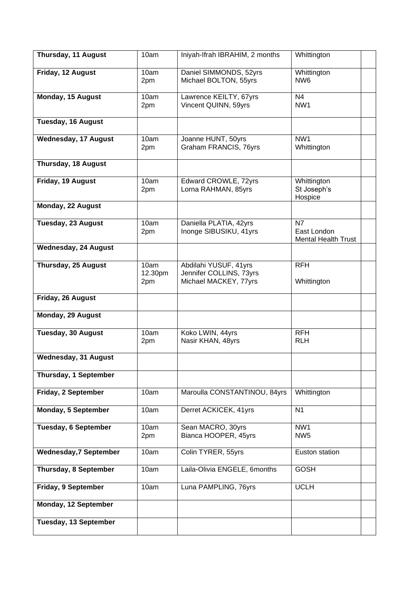| Thursday, 11 August           | 10am                   | Iniyah-Ifrah IBRAHIM, 2 months                                            | Whittington                                     |  |
|-------------------------------|------------------------|---------------------------------------------------------------------------|-------------------------------------------------|--|
| Friday, 12 August             | 10am<br>2pm            | Daniel SIMMONDS, 52yrs<br>Michael BOLTON, 55yrs                           | Whittington<br>NW <sub>6</sub>                  |  |
| <b>Monday, 15 August</b>      | 10am<br>2pm            | Lawrence KEILTY, 67yrs<br>Vincent QUINN, 59yrs                            | N <sub>4</sub><br>NW1                           |  |
| <b>Tuesday, 16 August</b>     |                        |                                                                           |                                                 |  |
| <b>Wednesday, 17 August</b>   | 10am<br>2pm            | Joanne HUNT, 50yrs<br>Graham FRANCIS, 76yrs                               | NW1<br>Whittington                              |  |
| Thursday, 18 August           |                        |                                                                           |                                                 |  |
| Friday, 19 August             | 10am<br>2pm            | Edward CROWLE, 72yrs<br>Lorna RAHMAN, 85yrs                               | Whittington<br>St Joseph's<br>Hospice           |  |
| Monday, 22 August             |                        |                                                                           |                                                 |  |
| Tuesday, 23 August            | 10am<br>2pm            | Daniella PLATIA, 42yrs<br>Inonge SIBUSIKU, 41yrs                          | N7<br>East London<br><b>Mental Health Trust</b> |  |
| <b>Wednesday, 24 August</b>   |                        |                                                                           |                                                 |  |
| Thursday, 25 August           | 10am<br>12.30pm<br>2pm | Abdilahi YUSUF, 41yrs<br>Jennifer COLLINS, 73yrs<br>Michael MACKEY, 77yrs | <b>RFH</b><br>Whittington                       |  |
| Friday, 26 August             |                        |                                                                           |                                                 |  |
| Monday, 29 August             |                        |                                                                           |                                                 |  |
| Tuesday, 30 August            | 10am<br>2pm            | Koko LWIN, 44yrs<br>Nasir KHAN, 48yrs                                     | <b>RFH</b><br><b>RLH</b>                        |  |
| <b>Wednesday, 31 August</b>   |                        |                                                                           |                                                 |  |
| Thursday, 1 September         |                        |                                                                           |                                                 |  |
| Friday, 2 September           | 10am                   | Maroulla CONSTANTINOU, 84yrs                                              | Whittington                                     |  |
| Monday, 5 September           | 10am                   | Derret ACKICEK, 41yrs                                                     | N <sub>1</sub>                                  |  |
| <b>Tuesday, 6 September</b>   | 10am<br>2pm            | Sean MACRO, 30yrs<br>Bianca HOOPER, 45yrs                                 | NW1<br>NW <sub>5</sub>                          |  |
| <b>Wednesday, 7 September</b> | 10am                   | Colin TYRER, 55yrs                                                        | Euston station                                  |  |
| Thursday, 8 September         | 10am                   | Laila-Olivia ENGELE, 6months                                              | <b>GOSH</b>                                     |  |
| Friday, 9 September           | 10am                   | Luna PAMPLING, 76yrs                                                      | <b>UCLH</b>                                     |  |
| Monday, 12 September          |                        |                                                                           |                                                 |  |
| Tuesday, 13 September         |                        |                                                                           |                                                 |  |